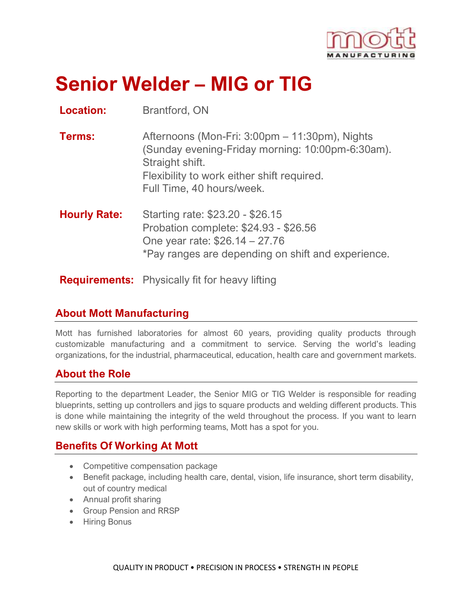

# **Senior Welder – MIG or TIG**

**Location:** Brantford, ON

| <b>Terms:</b> | Afternoons (Mon-Fri: 3:00pm – 11:30pm), Nights   |
|---------------|--------------------------------------------------|
|               | (Sunday evening-Friday morning: 10:00pm-6:30am). |
|               | Straight shift.                                  |
|               | Flexibility to work either shift required.       |
|               | Full Time, 40 hours/week.                        |
|               |                                                  |

**Hourly Rate:** Starting rate: \$23.20 - \$26.15 Probation complete: \$24.93 - \$26.56 One year rate: \$26.14 – 27.76 \*Pay ranges are depending on shift and experience.

**Requirements:** Physically fit for heavy lifting

#### **About Mott Manufacturing**

Mott has furnished laboratories for almost 60 years, providing quality products through customizable manufacturing and a commitment to service. Serving the world's leading organizations, for the industrial, pharmaceutical, education, health care and government markets.

## **About the Role**

Reporting to the department Leader, the Senior MIG or TIG Welder is responsible for reading blueprints, setting up controllers and jigs to square products and welding different products. This is done while maintaining the integrity of the weld throughout the process. If you want to learn new skills or work with high performing teams, Mott has a spot for you.

## **Benefits Of Working At Mott**

- Competitive compensation package
- Benefit package, including health care, dental, vision, life insurance, short term disability, out of country medical
- Annual profit sharing
- Group Pension and RRSP
- Hiring Bonus